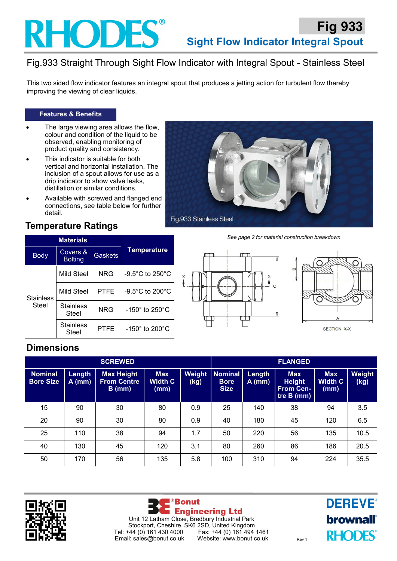## **RHODES®**

## Fig.933 Straight Through Sight Flow Indicator with Integral Spout - Stainless Steel

This two sided flow indicator features an integral spout that produces a jetting action for turbulent flow thereby improving the viewing of clear liquids.

#### **Features & Benefits**

- The large viewing area allows the flow, colour and condition of the liquid to be observed, enabling monitoring of product quality and consistency.
- This indicator is suitable for both vertical and horizontal installation. The inclusion of a spout allows for use as a drip indicator to show valve leaks, distillation or similar conditions.
- Available with screwed and flanged end connections, see table below for further detail.



See page 2 for material construction breakdown

## **Temperature Ratings**

|                           | <b>Materials</b>           |                |                                      |  |  |  |
|---------------------------|----------------------------|----------------|--------------------------------------|--|--|--|
| <b>Body</b>               | Covers &<br><b>Bolting</b> | <b>Gaskets</b> | <b>Temperature</b>                   |  |  |  |
| <b>Stainless</b><br>Steel | Mild Steel                 | <b>NRG</b>     | $-9.5^{\circ}$ C to 250 $^{\circ}$ C |  |  |  |
|                           | Mild Steel                 | PTFE           | $-9.5^{\circ}$ C to 200 $^{\circ}$ C |  |  |  |
|                           | <b>Stainless</b><br>Steel  | <b>NRG</b>     | $-150^\circ$ to 250 $^\circ$ C       |  |  |  |
|                           | <b>Stainless</b><br>Steel  | PTFE           | $-150^\circ$ to 200 $^\circ$ C       |  |  |  |





SECTION X-X

## **Dimensions**

| <b>SCREWED</b>                     |                    |                                                     |                                      | <b>FLANGED</b> |                                              |                    |                                                               |                                      |                |
|------------------------------------|--------------------|-----------------------------------------------------|--------------------------------------|----------------|----------------------------------------------|--------------------|---------------------------------------------------------------|--------------------------------------|----------------|
| <b>Nominal</b><br><b>Bore Size</b> | Length<br>$A$ (mm) | <b>Max Height</b><br><b>From Centre</b><br>$B$ (mm) | <b>Max</b><br><b>Width C</b><br>(mm) | Weight<br>(kg) | <b>Nominal</b><br><b>Bore</b><br><b>Size</b> | Length<br>$A$ (mm) | <b>Max</b><br><b>Height</b><br><b>From Cen-</b><br>tre B (mm) | <b>Max</b><br><b>Width C</b><br>(mm) | Weight<br>(kg) |
| 15                                 | 90                 | 30                                                  | 80                                   | 0.9            | 25                                           | 140                | 38                                                            | 94                                   | 3.5            |
| 20                                 | 90                 | 30                                                  | 80                                   | 0.9            | 40                                           | 180                | 45                                                            | 120                                  | 6.5            |
| 25                                 | 110                | 38                                                  | 94                                   | 1.7            | 50                                           | 220                | 56                                                            | 135                                  | 10.5           |
| 40                                 | 130                | 45                                                  | 120                                  | 3.1            | 80                                           | 260                | 86                                                            | 186                                  | 20.5           |
| 50                                 | 170                | 56                                                  | 135                                  | 5.8            | 100                                          | 310                | 94                                                            | 224                                  | 35.5           |





**DEREVE®** brownall **RHODES**